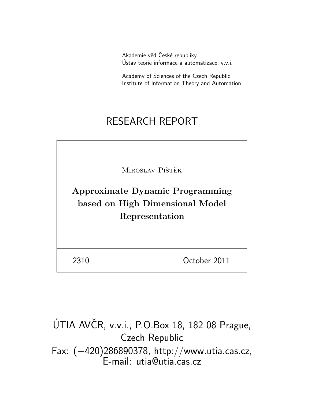Akademie věd České republiky Ustav teorie informace a automatizace, v.v.i. ´

Academy of Sciences of the Czech Republic Institute of Information Theory and Automation

# RESEARCH REPORT

MIROSLAV PIŠTĚK

Approximate Dynamic Programming based on High Dimensional Model Representation

2310 October 2011

ÚTIA AVČR, v.v.i., P.O.Box 18, 182 08 Prague, Czech Republic Fax: (+420)286890378, http://www.utia.cas.cz, E-mail: utia@utia.cas.cz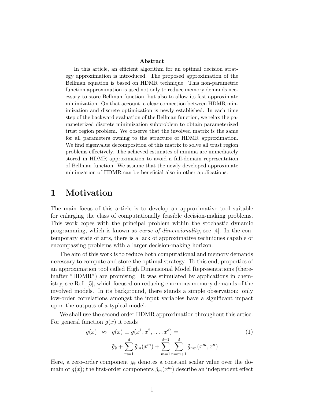#### Abstract

In this article, an efficient algorithm for an optimal decision strategy approximation is introduced. The proposed approximation of the Bellman equation is based on HDMR technique. This non-parametric function approximation is used not only to reduce memory demands necessary to store Bellman function, but also to allow its fast approximate minimization. On that account, a clear connection between HDMR minimization and discrete optimization is newly established. In each time step of the backward evaluation of the Bellman function, we relax the parameterized discrete minimization subproblem to obtain parameterized trust region problem. We observe that the involved matrix is the same for all parameters owning to the structure of HDMR approximation. We find eigenvalue decomposition of this matrix to solve all trust region problems effectively. The achieved estimates of minima are immediately stored in HDMR approximation to avoid a full-domain representation of Bellman function. We assume that the newly developed approximate minimzation of HDMR can be beneficial also in other applications.

### 1 Motivation

The main focus of this article is to develop an approximative tool suitable for enlarging the class of computationally feasible decision-making problems. This work copes with the principal problem within the stochastic dynamic programming, which is known as curse of dimensionality, see [4]. In the contemporary state of arts, there is a lack of approximative techniques capable of encompassing problems with a larger decision-making horizon.

The aim of this work is to reduce both computational and memory demands necessary to compute and store the optimal strategy. To this end, properties of an approximation tool called High Dimensional Model Representations (thereinafter "HDMR") are promising. It was stimulated by applications in chemistry, see Ref. [5], which focused on reducing enormous memory demands of the involved models. In its background, there stands a simple observation: only low-order correlations amongst the input variables have a significant impact upon the outputs of a typical model.

We shall use the second order HDMR approximation throughout this artice. For general function  $q(x)$  it reads

$$
g(x) \approx \tilde{g}(x) \equiv \tilde{g}(x^1, x^2, \dots, x^d) =
$$
  

$$
\tilde{g}_{\emptyset} + \sum_{m=1}^d \tilde{g}_m(x^m) + \sum_{m=1}^{d-1} \sum_{n=m+1}^d \tilde{g}_{mn}(x^m, x^n)
$$
 (1)

Here, a zero-order component  $\tilde{g}_{\emptyset}$  denotes a constant scalar value over the domain of  $g(x)$ ; the first-order components  $\tilde{g}_m(x^m)$  describe an independent effect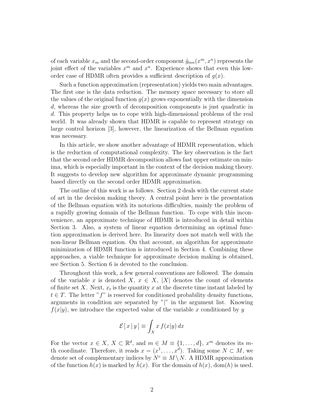of each variable  $x_m$  and the second-order component  $\tilde{g}_{mn}(x^m, x^n)$  represents the joint effect of the variables  $x^m$  and  $x^n$ . Experience shows that even this loworder case of HDMR often provides a sufficient description of  $q(x)$ .

Such a function approximation (representation) yields two main advantages. The first one is the data reduction. The memory space necessary to store all the values of the original function  $q(x)$  grows exponentially with the dimension d, whereas the size growth of decomposition components is just quadratic in d. This property helps us to cope with high-dimensional problems of the real world. It was already shown that HDMR is capable to represent strategy on large control horizon [3], however, the linearization of the Bellman equation was necessary.

In this article, we show another advantage of HDMR representation, which is the reduction of computational complexity. The key observation is the fact that the second order HDMR decomposition allows fast upper estimate on minima, which is especially important in the context of the decision making theory. It suggests to develop new algorithm for approximate dynamic programming based directly on the second order HDMR approximation.

The outline of this work is as follows. Section 2 deals with the current state of art in the decision making theory. A central point here is the presentation of the Bellman equation with its notorious difficulties, mainly the problem of a rapidly growing domain of the Bellman function. To cope with this inconvenience, an approximate technique of HDMR is introduced in detail within Section 3. Also, a system of linear equation determining an optimal function approximation is derived here. Its linearity does not match well with the non-linear Bellman equation. On that account, an algorithm for approximate minimization of HDMR function is introduced in Section 4. Combining these approaches, a viable technique for approximate decision making is obtained, see Section 5. Section 6 is devoted to the conclusion.

Throughout this work, a few general conventions are followed. The domain of the variable x is denoted X,  $x \in X$ , |X| denotes the count of elements of finite set X. Next,  $x_t$  is the quantity x at the discrete time instant labeled by  $t \in T$ . The letter "f" is reserved for conditioned probability density functions, arguments in condition are separated by " $|$ " in the argument list. Knowing  $f(x|y)$ , we introduce the expected value of the variable x conditioned by y

$$
\mathcal{E}[x|y] \equiv \int_X x f(x|y) dx
$$

For the vector  $x \in X$ ,  $X \subset \mathbb{R}^d$ , and  $m \in M \equiv \{1, ..., d\}$ ,  $x^m$  denotes its mth coordinate. Therefore, it reads  $x = (x^1, \ldots, x^d)$ . Taking some  $N \subset M$ , we denote set of complementary indices by  $N^c \equiv M \setminus N$ . A HDMR approximation of the function  $h(x)$  is marked by  $h(x)$ . For the domain of  $h(x)$ , dom(h) is used.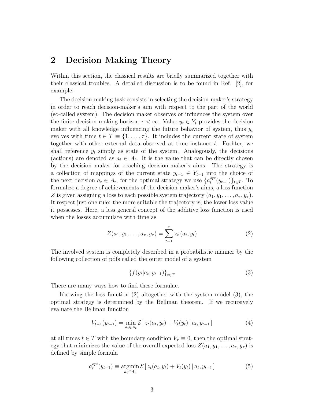### 2 Decision Making Theory

Within this section, the classical results are briefly summarized together with their classical troubles. A detailed discussion is to be found in Ref. [2], for example.

The decision-making task consists in selecting the decision-maker's strategy in order to reach decision-maker's aim with respect to the part of the world (so-called system). The decision maker observes or influences the system over the finite decision making horizon  $\tau < \infty$ . Value  $y_t \in Y_t$  provides the decision maker with all knowledge influencing the future behavior of system, thus  $y_t$ evolves with time  $t \in T \equiv \{1, \ldots, \tau\}$ . It includes the current state of system together with other external data observed at time instance t. Furhter, we shall reference  $y_t$  simply as state of the system. Analogously, the decisions (actions) are denoted as  $a_t \in A_t$ . It is the value that can be directly chosen by the decision maker for reaching decision-maker's aims. The strategy is a collection of mappings of the current state  $y_{t-1} \in Y_{t-1}$  into the choice of the next decision  $a_t \in A_t$ , for the optimal strategy we use  $\{a_t^{opt}\}$  $t^{opt}(y_{t-1})\}_{t\in T}$ . To formalize a degree of achievements of the decision-maker's aims, a loss function Z is given assigning a loss to each possible system trajectory  $(a_1, y_1, \ldots, a_{\tau}, y_{\tau})$ . It respect just one rule: the more suitable the trajectory is, the lower loss value it possesses. Here, a less general concept of the additive loss function is used when the losses accumulate with time as

$$
Z(a_1, y_1, \dots, a_{\tau}, y_{\tau}) = \sum_{t=1}^{\tau} z_t (a_t, y_t)
$$
 (2)

The involved system is completely described in a probabilistic manner by the following collection of pdfs called the outer model of a system

$$
\{f(y_t|a_t, y_{t-1})\}_{t \in T} \tag{3}
$$

There are many ways how to find these formulae.

Knowing the loss function (2) altogether with the system model (3), the optimal strategy is determined by the Bellman theorem. If we recursively evaluate the Bellman function

$$
V_{t-1}(y_{t-1}) = \min_{a_t \in A_t} \mathcal{E} \left[ z_t(a_t, y_t) + V_t(y_t) \, | \, a_t, y_{t-1} \right] \tag{4}
$$

at all times  $t \in T$  with the boundary condition  $V_\tau \equiv 0$ , then the optimal strategy that minimizes the value of the overall expected loss  $Z(a_1, y_1, \ldots, a_{\tau}, y_{\tau})$  is defined by simple formula

$$
a_t^{opt}(y_{t-1}) \equiv \underset{a_t \in A_t}{\text{argmin}} \mathcal{E} \left[ z_t(a_t, y_t) + V_t(y_t) \, | \, a_t, y_{t-1} \right] \tag{5}
$$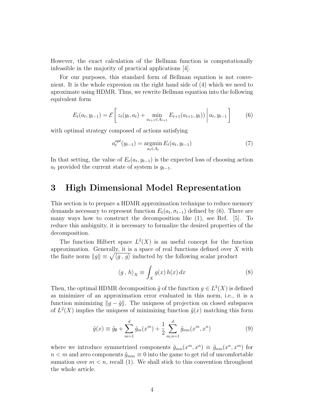However, the exact calculation of the Bellman function is computationally infeasible in the majority of practical applications [4].

For our purposes, this standard form of Bellman equation is not convenient. It is the whole expresion on the right hand side of (4) which we need to aproximate using HDMR. Thus, we rewrite Bellman equation into the following equivalent form

$$
E_t(a_t, y_{t-1}) = \mathcal{E}\left[z_t(y_t, a_t) + \min_{a_{t+1} \in A_{t+1}} E_{t+1}(a_{t+1}, y_t))\middle| a_t, y_{t-1}\right]
$$
(6)

with optimal strategy composed of actions satisfying

$$
a_t^{opt}(y_{t-1}) = \underset{a_t \in A_t}{\text{argmin}} E_t(a_t, y_{t-1})
$$
\n(7)

In that setting, the value of  $E_t(a_t, y_{t-1})$  is the expected loss of choosing action  $a_t$  provided the current state of system is  $y_{t-1}$ .

### 3 High Dimensional Model Representation

This section is to prepare a HDMR approximation technique to reduce memory demands necessary to represent function  $E_t(a_t, \sigma_{t-1})$  defined by (6). There are many ways how to construct the decomposition like (1), see Ref. [5]. To reduce this ambiguity, it is necessary to formalize the desired properties of the decomposition.

The function Hilbert space  $L^2(X)$  is an useful concept for the function approximation. Generally, it is a space of real functions defined over  $X$  with the finite norm  $||g|| \equiv \sqrt{\langle g, g \rangle}$  inducted by the following scalar product

$$
\langle g, h \rangle_X \equiv \int_X g(x) \, h(x) \, dx \tag{8}
$$

Then, the optimal HDMR decomposition  $\tilde{g}$  of the function  $g \in L^2(X)$  is defined as minimizer of an approximation error evaluated in this norm, i.e., it is a function minimizing  $||g - \tilde{g}||$ . The uniqness of projection on closed subspaces of  $L^2(X)$  implies the uniquess of minimizing function  $\tilde{g}(x)$  matching this form

$$
\tilde{g}(x) \equiv \tilde{g}_{\emptyset} + \sum_{m=1}^{d} \tilde{g}_{m}(x^{m}) + \frac{1}{2} \sum_{m,n=1}^{d} \tilde{g}_{mn}(x^{m}, x^{n})
$$
\n(9)

where we introduce symmetrized components  $\tilde{g}_{mn}(x^m, x^n) \equiv \tilde{g}_{nm}(x^n, x^m)$  for  $n < m$  and zero components  $\tilde{g}_{mm} \equiv 0$  into the game to get rid of uncomfortable sumation over  $m < n$ , recall (1). We shall stick to this convention throughout the whole article.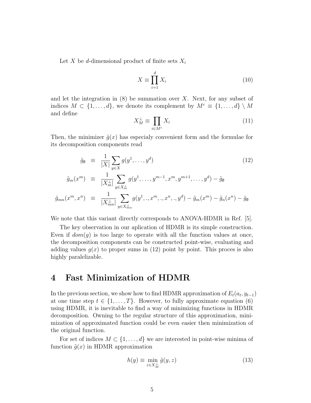Let X be d-dimensional product of finite sets  $X_i$ 

$$
X \equiv \prod_{i=1}^{d} X_i \tag{10}
$$

and let the integration in  $(8)$  be summation over X. Next, for any subset of indices  $M \subset \{1, \ldots, d\}$ , we denote its complement by  $M^c \equiv \{1, \ldots, d\} \setminus M$ and define

$$
X_M^\perp \equiv \prod_{i \in M^c} X_i \tag{11}
$$

Then, the minimizer  $\tilde{q}(x)$  has especially convenient form and the formulae for its decomposition components read

$$
\tilde{g}_{\emptyset} = \frac{1}{|X|} \sum_{y \in X} g(y^1, \dots, y^d) \tag{12}
$$
\n
$$
\tilde{g}_m(x^m) = \frac{1}{|X_m^{\perp}|} \sum_{y \in X_m^{\perp}} g(y^1, \dots, y^{m-1}, x^m, y^{m+1}, \dots, y^d) - \tilde{g}_{\emptyset}
$$

$$
\tilde{g}_{mn}(x^m, x^n) \equiv \frac{1}{|X_{mn}^{\perp}|} \sum_{y \in X_{mn}^{\perp}} g(y^1, .., x^m, .., x^n, .., y^d) - \tilde{g}_m(x^m) - \tilde{g}_n(x^n) - \tilde{g}_{\emptyset}
$$

We note that this variant directly corresponds to ANOVA-HDMR in Ref. [5].

The key observation in our aplication of HDMR is its simple construction. Even if  $dom(g)$  is too large to operate with all the function values at once, the decomposition components can be constructed point-wise, evaluating and adding values  $q(x)$  to proper sums in (12) point by point. This proces is also highly paralelizable.

### 4 Fast Minimization of HDMR

In the previous section, we show how to find HDMR approximation of  $E_t(a_t, y_{t-1})$ at one time step  $t \in \{1, \ldots, T\}$ . However, to fully approximate equation (6) using HDMR, it is inevitable to find a way of minimizing functions in HDMR decomposition. Owning to the regular structure of this approximation, minimization of approximated function could be even easier then minimization of the original function.

For set of indices  $M \subset \{1, \ldots, d\}$  we are interested in point-wise minima of function  $\tilde{g}(x)$  in HDMR approximation

$$
h(y) \equiv \min_{z \in X_M^{\perp}} \tilde{g}(y, z) \tag{13}
$$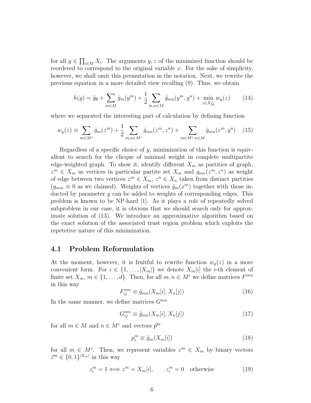for all  $y \in \prod_{i \in M} X_i$ . The arguments  $y, z$  of the minimized function should be reordered to correspond to the original variable  $x$ . For the sake of simplicity, however, we shall omit this permutation in the notation. Next, we rewrite the previous equation in a more detailed view recalling (9). Thus, we obtain

$$
h(y) = \tilde{g}_{\emptyset} + \sum_{m \in M} \tilde{g}_m(y^m) + \frac{1}{2} \sum_{m,n \in M} \tilde{g}_{mn}(y^m, y^n) + \min_{z \in X_M^{\perp}} w_y(z) \qquad (14)
$$

where we separated the interesting part of calculation by defining function

$$
w_y(z) \equiv \sum_{m \in M^c} \tilde{g}_m(z^m) + \frac{1}{2} \sum_{m,n \in M^c} \tilde{g}_{mn}(z^m, z^n) + \sum_{m \in M^c, n \in M} \tilde{g}_{mn}(z^m, y^n) \quad (15)
$$

Regardless of a specific choice of  $y$ , minimization of this function is equivallent to search for the clicque of minimal weight in complete multipartite edge-weighted graph. To show it, identify different  $X_m$  as partities of graph,  $z^m \in X_m$  as vertices in particular partite set  $X_m$  and  $g_{mn}(z^m, z^n)$  as weight of edge between two vertices  $z^m \in X_m$ ,  $z^n \in X_n$  taken from distinct partities  $(g_{mm} \equiv 0$  as we claimed). Weights of vertices  $\tilde{g}_m(x^m)$  together with those inducted by parameter  $y$  can be added to weights of corresponding edges. This problem is known to be NP-hard [1]. As it plays a role of repeatedly solved subproblem in our case, it is obvious that we should search only for approximate solution of (13). We introduce an approximative algorithm based on the exact solution of the associated trust region problem which exploits the repetetive nature of this minimization.

#### 4.1 Problem Reformulation

At the moment, however, it is fruitful to rewrite function  $w_y(z)$  in a more convenient form. For  $i \in \{1, \ldots, |X_m|\}$  we denote  $X_m[i]$  the *i*-th element of finite set  $X_m$ ,  $m \in \{1, ..., d\}$ . Then, for all  $m, n \in M^c$  we define matrices  $F^{mn}$ in this way

$$
F_{ij}^{mn} \equiv \tilde{g}_{mn}(X_m[i], X_n[j]) \tag{16}
$$

In the same manner, we define matrices  $G^{mn}$ 

$$
G_{ij}^{mn} \equiv \tilde{g}_{mn}(X_m[i], X_n[j]) \tag{17}
$$

for all  $m \in M$  and  $n \in M^c$  and vectors  $\bar{p}^m$ 

$$
p_i^m \equiv \tilde{g}_m(X_m[i]) \tag{18}
$$

for all  $m \in M^c$ . Then, we represent variables  $z^m \in X_m$  by binary vectors  $\bar{z}^m \in \{0,1\}^{|X_m|}$  in this way

$$
z_i^m = 1 \Longleftrightarrow z^m = X_m[i], \qquad z_i^m = 0 \quad \text{otherwise} \tag{19}
$$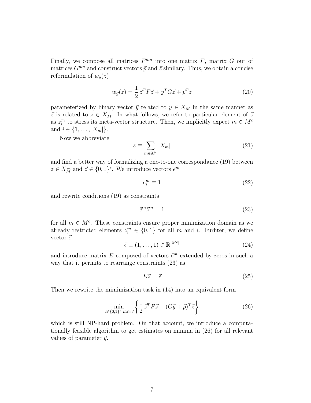Finally, we compose all matrices  $F^{mn}$  into one matrix  $F$ , matrix  $G$  out of matrices  $G^{mn}$  and construct vectors  $\vec{p}$  and  $\vec{z}$  similary. Thus, we obtain a concise reformulation of  $w_y(z)$ 

$$
w_{\vec{y}}(\vec{z}) = \frac{1}{2}\,\vec{z}^T F \vec{z} + \vec{y}^T G \vec{z} + \vec{p}^T \vec{z}
$$
\n<sup>(20)</sup>

parameterized by binary vector  $\vec{y}$  related to  $y \in X_M$  in the same manner as  $\vec{z}$  is related to  $z \in X_M^{\perp}$ . In what follows, we refer to particular element of  $\vec{z}$ as  $z_i^m$  to stress its meta-vector structure. Then, we implicitly expect  $m \in M^c$ and  $i \in \{1, ..., |X_m|\}.$ 

Now we abbreviate

$$
s \equiv \sum_{m \in M^c} |X_m| \tag{21}
$$

and find a better way of formalizing a one-to-one correspondance (19) between  $z \in X_M^{\perp}$  and  $\vec{z} \in \{0,1\}^s$ . We introduce vectors  $\vec{e}^m$ 

$$
e_i^m \equiv 1\tag{22}
$$

and rewrite conditions (19) as constraints

$$
\bar{e}^m \bar{z}^m = 1\tag{23}
$$

for all  $m \in M^c$ . These constraints ensure proper minimization domain as we already restricted elements  $z_i^m \in \{0,1\}$  for all m and i. Furhter, we define vector  $\vec{\epsilon}$ 

$$
\vec{\epsilon} \equiv (1, \dots, 1) \in \mathbb{R}^{|M^c|} \tag{24}
$$

and introduce matrix E composed of vectors  $\vec{e}^m$  extended by zeros in such a way that it permits to rearrange constraints (23) as

$$
E\vec{z} = \vec{\epsilon} \tag{25}
$$

Then we rewrite the mimimization task in (14) into an equivalent form

$$
\min_{\vec{z} \in \{0,1\}^s, E\vec{z} = \vec{\epsilon}} \left\{ \frac{1}{2} \, \vec{z}^T F \vec{z} + (G\vec{y} + \vec{p})^T \vec{z} \right\} \tag{26}
$$

which is still NP-hard problem. On that account, we introduce a computationally feasible algorithm to get estimates on minima in (26) for all relevant values of parameter  $\vec{y}$ .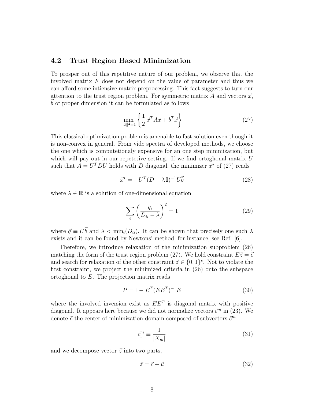#### 4.2 Trust Region Based Minimization

To prosper out of this repetitive nature of our problem, we observe that the involved matrix  $F$  does not depend on the value of parameter and thus we can afford some intiensive matrix preprocessing. This fact suggests to turn our attention to the trust region problem. For symmetric matrix A and vectors  $\vec{x}$ , ~b of proper dimension it can be formulated as follows

$$
\min_{\|\vec{x}\|^2=1} \left\{ \frac{1}{2} \, \vec{x}^T A \vec{x} + b^T \vec{x} \right\} \tag{27}
$$

This classical optimization problem is amenable to fast solution even though it is non-convex in general. From vide spectra of developed methods, we choose the one which is computetionaly expensive for an one step minimization, but which will pay out in our repetetive setting. If we find ortoghonal matrix  $U$ such that  $A = U^T D U$  holds with D diagonal, the minimizer  $\vec{x}^*$  of (27) reads

$$
\vec{x}^* = -U^T (D - \lambda \mathbb{I})^{-1} U \vec{b}
$$
\n(28)

where  $\lambda \in \mathbb{R}$  is a solution of one-dimensional equation

$$
\sum_{i} \left( \frac{q_i}{D_{ii} - \lambda} \right)^2 = 1 \tag{29}
$$

where  $\vec{q} \equiv U\vec{b}$  and  $\lambda < \min_i(D_{ii})$ . It can be shown that precisely one such  $\lambda$ exists and it can be found by Newtons' method, for instance, see Ref. [6].

Therefore, we introduce relaxation of the minimization subproblem (26) matching the form of the trust region problem (27). We hold constraint  $E\vec{z} = \vec{\epsilon}$ and search for relaxation of the other constraint  $\vec{z} \in \{0,1\}^s$ . Not to violate the first constraint, we project the minimized criteria in (26) onto the subspace ortoghonal to  $E$ . The projection matrix reads

$$
P = \mathbb{I} - E^T (E E^T)^{-1} E \tag{30}
$$

where the involved inversion exist as  $EE<sup>T</sup>$  is diagonal matrix with positive diagonal. It appears here because we did not normalize vectors  $\vec{e}^m$  in (23). We denote  $\vec{c}$  the center of minimization domain composed of subvectors  $\vec{c}^m$ 

$$
c_i^m \equiv \frac{1}{|X_m|} \tag{31}
$$

and we decompose vector  $\vec{z}$  into two parts,

$$
\vec{z} = \vec{c} + \vec{u} \tag{32}
$$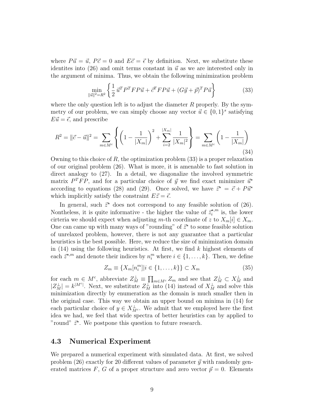where  $P\vec{u} = \vec{u}$ ,  $P\vec{c} = 0$  and  $E\vec{c} = \vec{\epsilon}$  by definition. Next, we substitute these identities into (26) and omit terms constant in  $\vec{u}$  as we are interested only in the argument of minima. Thus, we obtain the following minimization problem

$$
\min_{\|\vec{u}\|^2 = R^2} \left\{ \frac{1}{2} \, \vec{u}^T P^T F P \vec{u} + \vec{c}^T F P \vec{u} + (G \vec{y} + \vec{p})^T P \vec{u} \right\} \tag{33}
$$

where the only question left is to adjust the diameter  $R$  properly. By the symmetry of our problem, we can simply choose any vector  $\vec{u} \in \{0, 1\}^s$  satisfying  $E\vec{u} = \vec{\epsilon}$ , and prescribe

$$
R^{2} = \|\vec{c} - \vec{u}\|^{2} = \sum_{m \in M^{c}} \left\{ \left( 1 - \frac{1}{|X_{m}|} \right)^{2} + \sum_{i=2}^{|X_{m}|} \frac{1}{|X_{m}|^{2}} \right\} = \sum_{m \in M^{c}} \left( 1 - \frac{1}{|X_{m}|} \right)
$$
\n(34)

Owning to this choice of R, the optimization problem  $(33)$  is a proper relaxation of our original problem (26). What is more, it is amenable to fast solution in direct analogy to (27). In a detail, we diagonalize the involved symmetric matrix  $P^TFP$ , and for a particular choice of  $\vec{y}$  we find exact minimizer  $\vec{u}^*$ according to equations (28) and (29). Once solved, we have  $\vec{z}^* = \vec{c} + P\vec{u}^*$ which implicitly satisfy the constraint  $E\vec{z} = \vec{\epsilon}$ .

In general, such  $\vec{z}^*$  does not correspond to any feasible solution of (26). Nontheless, it is quite informative - the higher the value of  $\vec{z}_i^{*,m}$  is, the lower cirteria we should expect when adjusting m-th coordinate of z to  $X_m[i] \in X_m$ . One can came up with many ways of "rounding" of  $\vec{z}^*$  to some feasible solution of unrelaxed problem, however, there is not any guarantee that a particular heuristics is the best possible. Here, we reduce the size of minimization domain in  $(14)$  using the following heuristics. At first, we find k highest elements of each  $\vec{z}^{*,m}$  and denote their indices by  $n_i^m$  where  $i \in \{1, \ldots, k\}$ . Then, we define

$$
Z_m \equiv \{X_m[n_i^m]|i \in \{1,\ldots,k\}\} \subset X_m \tag{35}
$$

for each  $m \in M^c$ , abbreviate  $Z_M^{\perp} \equiv \prod_{m \in M^c} Z_m$  and see that  $Z_M^{\perp} \subset X_M^{\perp}$  and  $|Z_M^{\perp}| = k^{|M^c|}$ . Next, we substitute  $Z_M^{\perp}$  into (14) instead of  $X_M^{\perp}$  and solve this minimization directly by enumeration as the domain is much smaller then in the original case. This way we obtain an upper bound on minima in (14) for each particular choice of  $y \in X_{M^c}^{\perp}$ . We admit that we employed here the first idea we had, we feel that wide spectra of better heuristics can by applied to "round"  $\vec{z}^*$ . We postpone this question to future research.

### 4.3 Numerical Experiment

We prepared a numerical experiment with simulated data. At first, we solved problem (26) exactly for 20 different values of parameter  $\vec{y}$  with randomly generated matrices F, G of a proper structure and zero vector  $\vec{p} = 0$ . Elements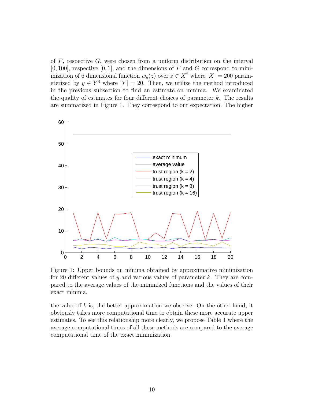of  $F$ , respective  $G$ , were chosen from a uniform distribution on the interval  $[0, 100]$ , respective  $[0, 1]$ , and the dimensions of F and G correspond to minimization of 6 dimensional function  $w_y(z)$  over  $z \in X^2$  where  $|X| = 200$  parameterized by  $y \in Y^4$  where  $|Y| = 20$ . Then, we utilize the method introduced in the previous subsection to find an estimate on minima. We examinated the quality of estimates for four different choices of parameter  $k$ . The results are summarized in Figure 1. They correspond to our expectation. The higher



Figure 1: Upper bounds on minima obtained by approximative minimization for 20 different values of  $\gamma$  and various values of parameter k. They are compared to the average values of the minimized functions and the values of their exact minima.

the value of  $k$  is, the better approximation we observe. On the other hand, it obviously takes more computational time to obtain these more accurate upper estimates. To see this relationship more clearly, we propose Table 1 where the average computational times of all these methods are compared to the average computational time of the exact minimization.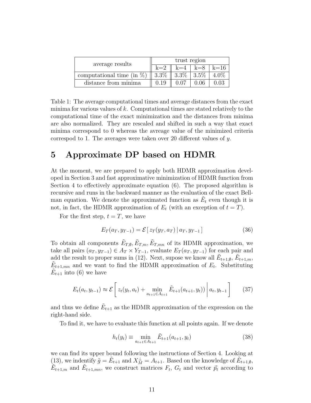| average results               | trust region |                   |                        |  |
|-------------------------------|--------------|-------------------|------------------------|--|
|                               | $k=2$        |                   | $k=4$   $k=8$   $k=16$ |  |
| computational time (in $\%$ ) | $3.3\%$      | $3.3\%$   $3.5\%$ |                        |  |
| distance from minima          | 0.19         |                   | 0.06                   |  |

Table 1: The average computational times and average distances from the exact minima for various values of  $k$ . Computational times are stated relatively to the computational time of the exact minimization and the distances from minima are also normalized. They are rescaled and shifted in such a way that exact minima correspond to 0 whereas the avreage value of the minimized criteria correspod to 1. The averages were taken over 20 different values of y.

### 5 Approximate DP based on HDMR

At the moment, we are prepared to apply both HDMR approximation developed in Section 3 and fast approximative minimization of HDMR function from Section 4 to effectively approximate equation (6). The proposed algorithm is recursive and runs in the backward manner as the evaluation of the exact Bellman equation. We denote the approximated function as  $\tilde{E}_t$  even though it is not, in fact, the HDMR approximation of  $E_t$  (with an exception of  $t = T$ ).

For the first step,  $t = T$ , we have

$$
E_T(a_T, y_{T-1}) = \mathcal{E}[z_T(y_T, a_T) | a_T, y_{T-1}] \tag{36}
$$

To obtain all components  $\tilde{E}_{T,\emptyset}, \tilde{E}_{T,m}, \tilde{E}_{T,mn}$  of its HDMR approximation, we take all pairs  $(a_T, y_{T-1}) \in A_T \times Y_{T-1}$ , evaluate  $E_T(a_T, y_{T-1})$  for each pair and add the result to proper sums in (12). Next, supose we know all  $\tilde{E}_{t+1,\theta}$ ,  $\tilde{E}_{t+1,m}$ ,  $\tilde{E}_{t+1,mn}$  and we want to find the HDMR approximation of  $E_t$ . Substituting  $\tilde{E}_{t+1}$  into (6) we have

$$
E_t(a_t, y_{t-1}) \approx \mathcal{E}\left[z_t(y_t, a_t) + \min_{a_{t+1} \in A_{t+1}} \tilde{E}_{t+1}(a_{t+1}, y_t))\middle| a_t, y_{t-1}\right] \tag{37}
$$

and thus we define  $\tilde{E}_{t+1}$  as the HDMR approximation of the expression on the right-hand side.

To find it, we have to evaluate this function at all points again. If we denote

$$
h_t(y_t) \equiv \min_{a_{t+1} \in A_{t+1}} \tilde{E}_{t+1}(a_{t+1}, y_t)
$$
\n(38)

we can find its upper bound following the instructions of Section 4. Looking at (13), we indentify  $\tilde{g} = \tilde{E}_{t+1}$  and  $X_M^{\perp} = A_{t+1}$ . Based on the knowledge of  $\tilde{E}_{t+1,\emptyset}$ ,  $\tilde{E}_{t+1,m}$  and  $\tilde{E}_{t+1,mn}$ , we construct matrices  $F_t$ ,  $G_t$  and vector  $\vec{p}_t$  according to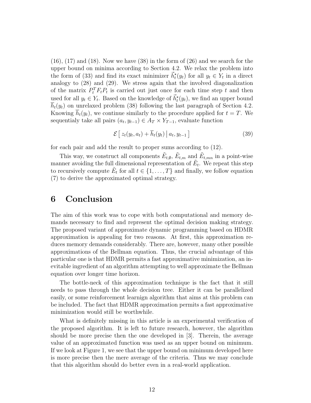$(16)$ ,  $(17)$  and  $(18)$ . Now we have  $(38)$  in the form of  $(26)$  and we search for the upper bound on minima according to Section 4.2. We relax the problem into the form of (33) and find its exact minimizer  $\vec{h}_t^*(y_t)$  for all  $y_t \in Y_t$  in a direct analogy to (28) and (29). We stress again that the involved diagonalization of the matrix  $P_t^T F_t P_t$  is carried out just once for each time step t and then used for all  $y_t \in Y_t$ . Based on the knowledge of  $\vec{h}_t^*(y_t)$ , we find an upper bound  $\overline{h}_t(y_t)$  on unrelaxed problem (38) following the last paragraph of Section 4.2. Knowing  $\overline{h}_t(y_t)$ , we continue similarly to the procedure applied for  $t = T$ . We sequentialy take all pairs  $(a_t, y_{t-1}) \in A_T \times Y_{T-1}$ , evaluate function

$$
\mathcal{E}\left[z_t(y_t, a_t) + \overline{h}_t(y_t) \, \big| \, a_t, y_{t-1}\right] \tag{39}
$$

for each pair and add the result to proper sums according to (12).

This way, we construct all components  $\tilde{E}_{t,\emptyset}$ ,  $\tilde{E}_{t,m}$  and  $\tilde{E}_{t,mn}$  in a point-wise manner avoiding the full dimensional representation of  $\tilde{E}_t$ . We repeat this step to recursively compute  $\tilde{E}_t$  for all  $t \in \{1, \ldots, T\}$  and finally, we follow equation (7) to derive the approximated optimal strategy.

### 6 Conclusion

The aim of this work was to cope with both computational and memory demands necessary to find and represent the optimal decision making strategy. The proposed variant of approximate dynamic programming based on HDMR approximation is appealing for two reasons. At first, this approximation reduces memory demands considerably. There are, however, many other possible approximations of the Bellman equation. Thus, the crucial advantage of this particular one is that HDMR permits a fast approximative minimization, an inevitable ingredient of an algorithm attempting to well approximate the Bellman equation over longer time horizon.

The bottle-neck of this approximation technique is the fact that it still needs to pass through the whole decision tree. Either it can be parallelized easily, or some reinforcement learnign algorithm that aims at this problem can be included. The fact that HDMR approximation permits a fast approximative minimization would still be worthwhile.

What is definitely missing in this article is an experimental verification of the proposed algorithm. It is left to future research, however, the algorithm should be more precise then the one developed in [3]. Therein, the average value of an approximated function was used as an upper bound on minimum. If we look at Figure 1, we see that the upper bound on minimum developed here is more precise then the mere average of the criteria. Thus we may conclude that this algorithm should do better even in a real-world application.